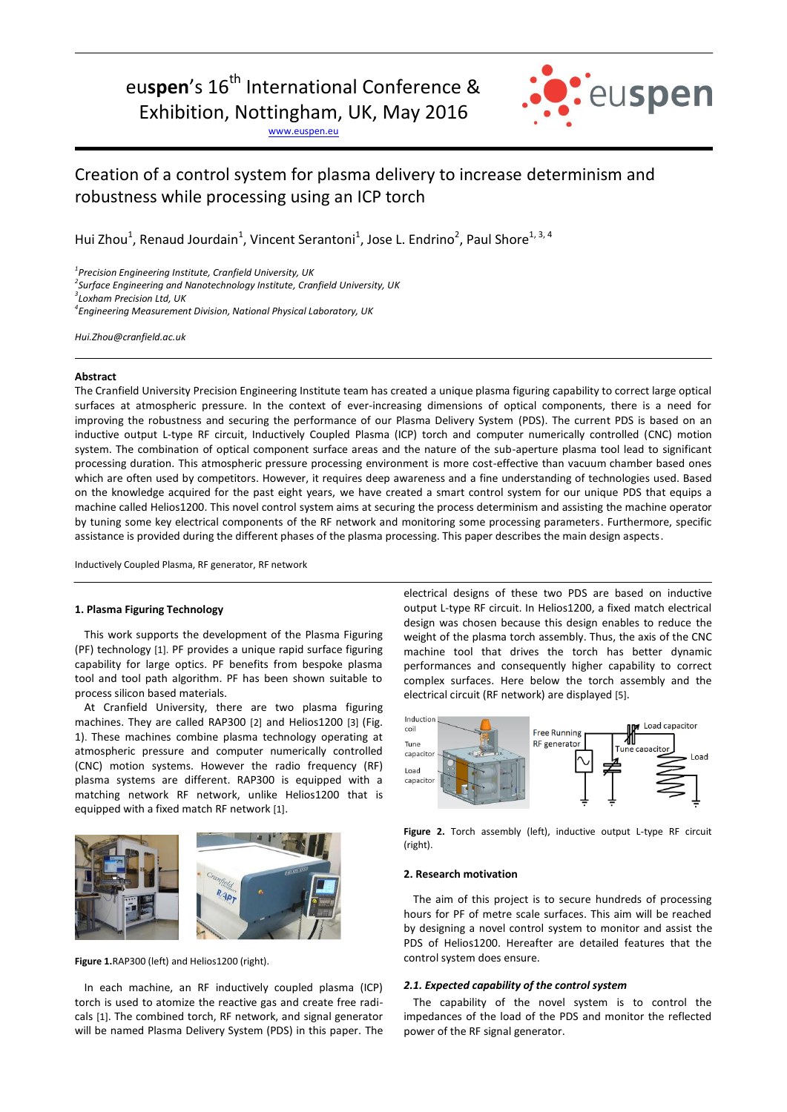# eu**spen**'s 16<sup>th</sup> International Conference &

Exhibition, Nottingham, UK, May 2016

[www.euspen.eu](http://www.euspen.eu/)



# Creation of a control system for plasma delivery to increase determinism and robustness while processing using an ICP torch

Hui Zhou<sup>1</sup>, Renaud Jourdain<sup>1</sup>, Vincent Serantoni<sup>1</sup>, Jose L. Endrino<sup>2</sup>, Paul Shore<sup>1, 3, 4</sup>

*1 Precision Engineering Institute, Cranfield University, UK*

*2 [Surface Engineering and Nanotechnology Institute,](http://www.cranfield.ac.uk/About/People-and-Resources/Schools-institutes-and-research-centres/satm-centres/Surface-Engineering-and-Nanotechnology-Institute) Cranfield University, UK*

*3 Loxham Precision Ltd, UK*

*4 Engineering Measurement Division, National Physical Laboratory, UK*

*Hui.Zhou@cranfield.ac.uk*

# **Abstract**

The Cranfield University Precision Engineering Institute team has created a unique plasma figuring capability to correct large optical surfaces at atmospheric pressure. In the context of ever-increasing dimensions of optical components, there is a need for improving the robustness and securing the performance of our Plasma Delivery System (PDS). The current PDS is based on an inductive output L-type RF circuit, Inductively Coupled Plasma (ICP) torch and computer numerically controlled (CNC) motion system. The combination of optical component surface areas and the nature of the sub-aperture plasma tool lead to significant processing duration. This atmospheric pressure processing environment is more cost-effective than vacuum chamber based ones which are often used by competitors. However, it requires deep awareness and a fine understanding of technologies used. Based on the knowledge acquired for the past eight years, we have created a smart control system for our unique PDS that equips a machine called Helios1200. This novel control system aims at securing the process determinism and assisting the machine operator by tuning some key electrical components of the RF network and monitoring some processing parameters. Furthermore, specific assistance is provided during the different phases of the plasma processing. This paper describes the main design aspects.

Inductively Coupled Plasma, RF generator, RF network

#### **1. Plasma Figuring Technology**

This work supports the development of the Plasma Figuring (PF) technology [1]. PF provides a unique rapid surface figuring capability for large optics. PF benefits from bespoke plasma tool and tool path algorithm. PF has been shown suitable to process silicon based materials.

At Cranfield University, there are two plasma figuring machines. They are called RAP300 [2] and Helios1200 [3] (Fig. 1). These machines combine plasma technology operating at atmospheric pressure and computer numerically controlled (CNC) motion systems. However the radio frequency (RF) plasma systems are different. RAP300 is equipped with a matching network RF network, unlike Helios1200 that is equipped with a fixed match RF network [1].



Figure 1.RAP300 (left) and Helios1200 (right).

In each machine, an RF inductively coupled plasma (ICP) torch is used to atomize the reactive gas and create free radicals [1]. The combined torch, RF network, and signal generator will be named Plasma Delivery System (PDS) in this paper. The electrical designs of these two PDS are based on inductive output L-type RF circuit. In Helios1200, a fixed match electrical design was chosen because this design enables to reduce the weight of the plasma torch assembly. Thus, the axis of the CNC machine tool that drives the torch has better dynamic performances and consequently higher capability to correct complex surfaces. Here below the torch assembly and the electrical circuit (RF network) are displayed [5].



**Figure 2.** Torch assembly (left), inductive output L-type RF circuit (right).

#### **2. Research motivation**

The aim of this project is to secure hundreds of processing hours for PF of metre scale surfaces. This aim will be reached by designing a novel control system to monitor and assist the PDS of Helios1200. Hereafter are detailed features that the control system does ensure.

#### *2.1. Expected capability of the control system*

The capability of the novel system is to control the impedances of the load of the PDS and monitor the reflected power of the RF signal generator.